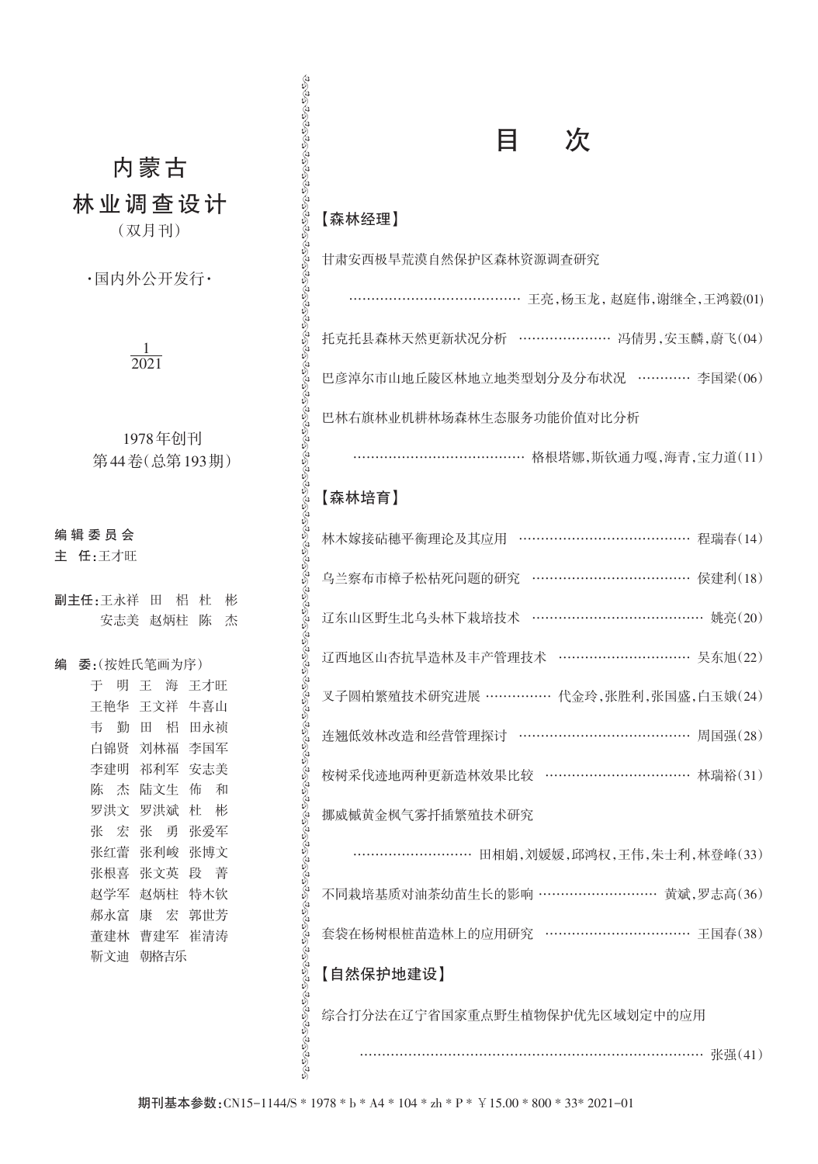# 内蒙古

林业调查设计

(双月刊)

·国内外公开发行·

#### $\overline{1}$ 2021

1978年创刊 第44卷(总第193期)

#### 编 辑 委 员 会

主 任:王才旺

副主任:王永祥 田 梠 杜 彬 安志美 赵炳柱 陈 杰

#### 编 委:(按姓氏笔画为序)

| 干                    | 一明 | 王海  |      | 王才旺     |  |  |
|----------------------|----|-----|------|---------|--|--|
| 王艳华                  |    | 王文祥 |      | 牛喜山     |  |  |
| 韦                  勤 |    |     | 田相   | 田永祯     |  |  |
| 白锦贤                  |    | 刘林福 |      | 李国军     |  |  |
| 李建明                  |    |     | 祁利军  | 安志美     |  |  |
| 陈 杰                  |    |     | 陆文牛  | - 佑 - 和 |  |  |
| 罗洪文                  |    |     | 罗洪斌  | 杜彬      |  |  |
| 张 一宏                 |    |     | 张 勇  | 张爱军     |  |  |
| 张红蕾                  |    |     | 张利峻  | 张博文     |  |  |
| 张根喜                  |    |     | 张文英  | 段 菁     |  |  |
| 赵学军                  |    |     | 赵炳柱  | 特木钦     |  |  |
| 郝永富                  |    |     | 康宏   | 郭丗芳     |  |  |
| 董建林                  |    |     | 曹建军  | 崔清涛     |  |  |
| 靳文迪                  |    |     | 朝格吉乐 |         |  |  |

# 目 次

# 【森林经理】

| …………………………………… 王亮, 杨玉龙, 赵庭伟, 谢继全, 王鸿毅(01) |
|-------------------------------------------|
| 托克托县森林天然更新状况分析 ………………… 冯倩男,安玉麟,蔚飞(04)     |
| 巴彦淖尔市山地丘陵区林地立地类型划分及分布状况 ………… 李国梁(06)      |
| 巴林右旗林业机耕林场森林生态服务功能价值对比分析                  |

### 【森林培育】

| 次                                                        |
|----------------------------------------------------------|
| 【森林经理】                                                   |
| 甘肃安西极旱荒漠自然保护区森林资源调查研究                                    |
| …………………………………… 王亮,杨玉龙, 赵庭伟,谢继全,王鸿毅(01)                   |
| 托克托县森林天然更新状况分析 …………………… 冯倩男,安玉麟,蔚飞(04)                   |
| 巴彦淖尔市山地丘陵区林地立地类型划分及分布状况 ………… 李国梁(06)                     |
| 巴林右旗林业机耕林场森林生态服务功能价值对比分析                                 |
| …………………………………… 格根塔娜,斯钦通力嘎,海青,宝力道(11)                     |
| 【森林培育】                                                   |
| 林木嫁接砧穗平衡理论及其应用 ………………………………… 程瑞春(14)                     |
| 乌兰察布市樟子松枯死问题的研究<br>……………………………… 侯建利(18)                  |
| 辽东山区野生北乌头林下栽培技术 ……………………………… 姚亮(20)                      |
| 辽西地区山杏抗旱造林及丰产管理技术 ………………………… 吴东旭(22)                     |
| 叉子圆柏繁殖技术研究进展 …………… 代金玲,张胜利,张国盛,白玉娥(24)                   |
| 连翘低效林改造和经营管理探讨<br>………………………………… 周国强(28)                  |
| …………………………… 林瑞裕(31)<br>桉树采伐迹地两种更新造林效果比较                  |
| 挪威槭黄金枫气雾扦插繁殖技术研究                                         |
| ……………………… 田相娟,刘媛媛,邱鸿权,王伟,朱士利,林登峰(33)                     |
| 不同栽培基质对油茶幼苗生长的影响 ……………………… 黄斌,罗志高(36)                    |
| ……………………………… 王国春(38)<br>套袋在杨树根桩苗造林上的应用研究                 |
| 【自然保护地建设】                                                |
| 综合打分法在辽宁省国家重点野生植物保护优先区域划定中的应用                            |
| こうしゅうしょうしょうしょうしょう こうしょうしょうしょう しょうしょうしょう しょうしょう<br>张强(41) |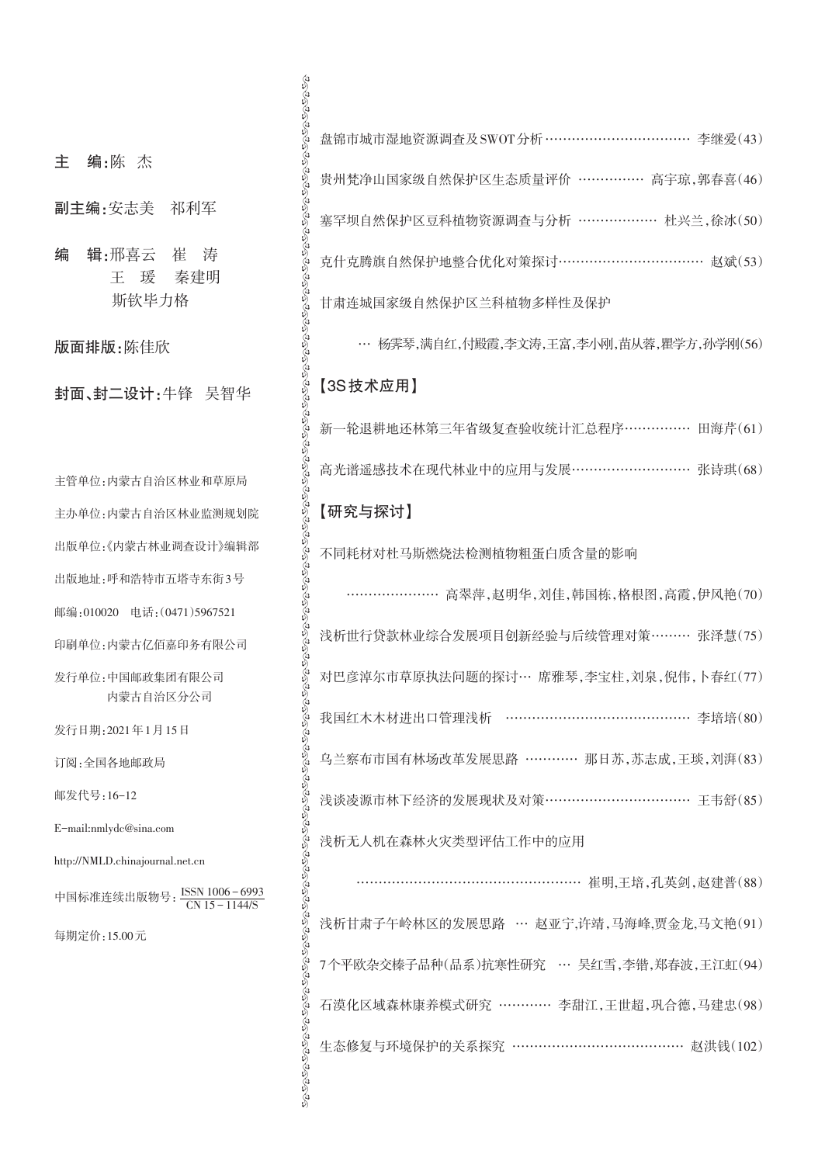### 主 编:陈 杰

- 副主编:安志美 祁利军
- 编 辑:邢喜云 崔 涛 王 瑗 秦建明 斯钦毕力格

版面排版:陈佳欣

封面、封二设计:牛锋 吴智华

主管单位:内蒙古自治区林业和草原局 主办单位:内蒙古自治区林业监测规划院 出版单位:《内蒙古林业调查设计》编辑部 出版地址:呼和浩特市五塔寺东街3号 邮编:010020 电话:(0471)5967521 印刷单位:内蒙古亿佰嘉印务有限公司 发行单位:中国邮政集团有限公司 内蒙古自治区分公司 发行日期:2021年1月15日 订阅:全国各地邮政局 邮发代号:16-12 E-mail:nmlydc@sina.com http://NMLD.chinajournal.net.cn 中国标准连续出版物号: <mark>ISSN 1006–6993</mark><br>CN 15-1144/S

每期定价:15.00元

| 79の中の79の中の中の中の中であるのであるのは、そのようでは、その中には、そのようには、そのようなのは、このようは、このようは、これは、このようは、このようは、そのように、そのように、そのように、そ | 盘锦市城市湿地资源调查及SWOT分析 …………………………… 李继爱(43)   |
|------------------------------------------------------------------------------------------------------|------------------------------------------|
|                                                                                                      | 贵州梵净山国家级自然保护区生态质量评价 …………… 高宇琼,郭春喜(46)    |
|                                                                                                      | 塞罕坝自然保护区豆科植物资源调查与分析 ……………… 杜兴兰,徐冰(50)    |
|                                                                                                      | 克什克腾旗自然保护地整合优化对策探讨……………………………… 赵斌(53)    |
|                                                                                                      | 甘肃连城国家级自然保护区兰科植物多样性及保护                   |
|                                                                                                      | … 杨霁琴,满自红,付殿霞,李文涛,王富,李小刚,苗从蓉,瞿学方,孙学刚(56) |
|                                                                                                      | 【3S技术应用】                                 |
|                                                                                                      | 新一轮退耕地还林第三年省级复查验收统计汇总程序…………… 田海芹(61)     |
|                                                                                                      | 高光谱遥感技术在现代林业中的应用与发展……………………… 张诗琪(68)     |
|                                                                                                      | 【研究与探讨】                                  |
|                                                                                                      | 不同耗材对杜马斯燃烧法检测植物粗蛋白质含量的影响                 |
|                                                                                                      | ……………… 高翠萍,赵明华,刘佳,韩国栋,格根图,高霞,伊风艳(70)     |
|                                                                                                      | 浅析世行贷款林业综合发展项目创新经验与后续管理对策……… 张泽慧(75)     |
|                                                                                                      | 对巴彦淖尔市草原执法问题的探讨… 席雅琴,李宝柱,刘泉,倪伟,卜春红(77)   |
|                                                                                                      | 我国红木木材进出口管理浅析<br>…………………………………… 李培培(80)  |
|                                                                                                      | 乌兰察布市国有林场改革发展思路 ………… 那日苏,苏志成,王琰,刘湃(83)   |
|                                                                                                      | 浅谈凌源市林下经济的发展现状及对策……………………………… 王韦舒(85)    |
|                                                                                                      | 浅析无人机在森林火灾类型评估工作中的应用                     |
|                                                                                                      | ………………………………………………………… 崔明,王培,孔英剑,赵建普(88) |
|                                                                                                      | 浅析甘肃子午岭林区的发展思路 … 赵亚宁,许靖,马海峰,贾金龙,马文艳(91)  |
|                                                                                                      | 7个平欧杂交榛子品种(品系)抗寒性研究 … 吴红雪,李锴,郑春波,王江虹(94) |
|                                                                                                      | 石漠化区域森林康养模式研究 ………… 李甜江,王世超,巩合德,马建忠(98)   |
| こうしゅうしょうしょうしょうしょう しょうしょうしょうしょうしょうしょうしょうしょうしょう                                                        | 生态修复与环境保护的关系探究 ………………………………… 赵洪钱(102)    |
|                                                                                                      |                                          |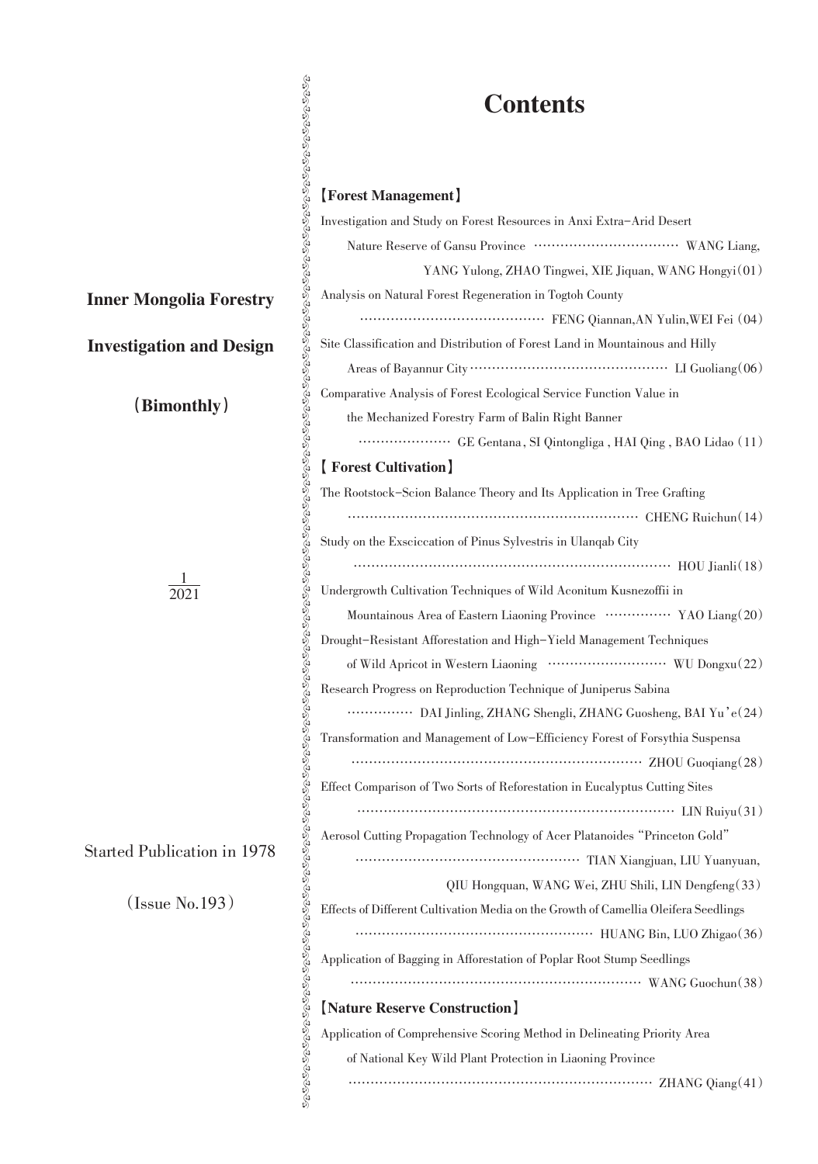# **Contents**

## 【Forest Management】

| <b>Contents</b>                                                                     |
|-------------------------------------------------------------------------------------|
|                                                                                     |
| [Forest Management]                                                                 |
| Investigation and Study on Forest Resources in Anxi Extra-Arid Desert               |
|                                                                                     |
| YANG Yulong, ZHAO Tingwei, XIE Jiquan, WANG Hongyi(01)                              |
| Analysis on Natural Forest Regeneration in Togtoh County                            |
|                                                                                     |
| Site Classification and Distribution of Forest Land in Mountainous and Hilly        |
|                                                                                     |
| Comparative Analysis of Forest Ecological Service Function Value in                 |
| the Mechanized Forestry Farm of Balin Right Banner                                  |
| GE Gentana, SI Qintongliga, HAI Qing, BAO Lidao (11)                                |
| [ Forest Cultivation]                                                               |
| The Rootstock-Scion Balance Theory and Its Application in Tree Grafting             |
| CHENG Ruichun(14)                                                                   |
| Study on the Exsciecation of Pinus Sylvestris in Ulanqab City                       |
|                                                                                     |
| Undergrowth Cultivation Techniques of Wild Aconitum Kusnezoffii in                  |
| Mountainous Area of Eastern Liaoning Province  YAO Liang(20)                        |
| Drought-Resistant Afforestation and High-Yield Management Techniques                |
|                                                                                     |
| Research Progress on Reproduction Technique of Juniperus Sabina                     |
| DAI Jinling, ZHANG Shengli, ZHANG Guosheng, BAI Yu'e(24)                            |
| Transformation and Management of Low-Efficiency Forest of Forsythia Suspensa        |
| THOU Guoqiang(28)                                                                   |
| Effect Comparison of Two Sorts of Reforestation in Eucalyptus Cutting Sites         |
|                                                                                     |
| Aerosol Cutting Propagation Technology of Acer Platanoides "Princeton Gold"         |
|                                                                                     |
| QIU Hongquan, WANG Wei, ZHU Shili, LIN Dengfeng(33)                                 |
| Effects of Different Cultivation Media on the Growth of Camellia Oleifera Seedlings |
| HUANG Bin, LUO Zhigao (36)                                                          |
| Application of Bagging in Afforestation of Poplar Root Stump Seedlings              |
| WANG Guochun (38)                                                                   |
| [Nature Reserve Construction]                                                       |
| Application of Comprehensive Scoring Method in Delineating Priority Area            |
|                                                                                     |
| of National Key Wild Plant Protection in Liaoning Province                          |
|                                                                                     |

Inner Mongolia Forestry

# Investigation and Design

(Bimonthly)

 $\overline{1}$ 2021

Started Publication in 1978

(Issue No.193)